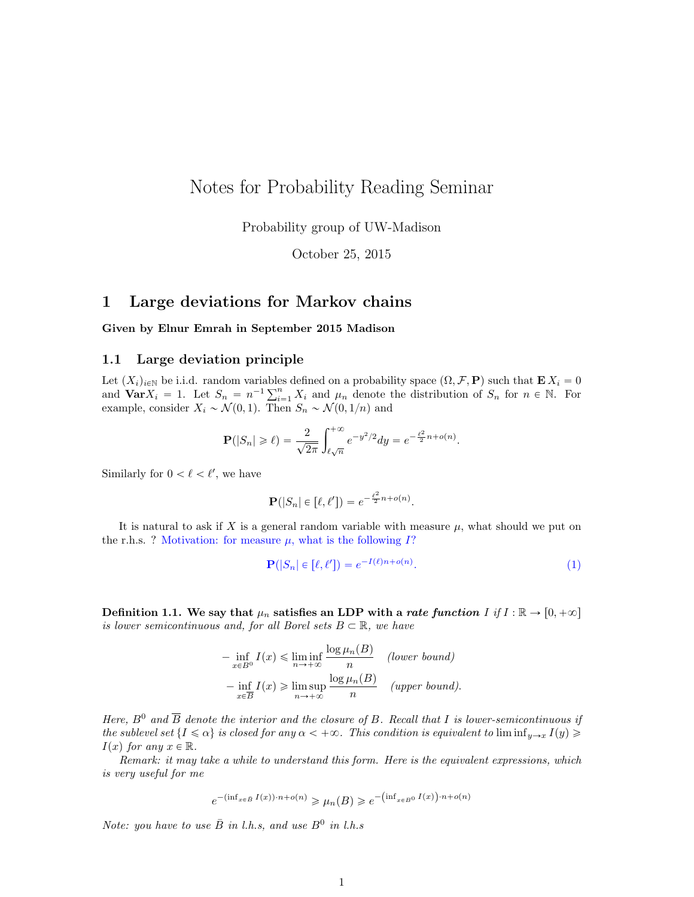## Notes for Probability Reading Seminar

Probability group of UW-Madison

October 25, 2015

### 1 Large deviations for Markov chains

Given by Elnur Emrah in September 2015 Madison

#### 1.1 Large deviation principle

Let  $(X_i)_{i\in\mathbb{N}}$  be i.i.d. random variables defined on a probability space  $(\Omega, \mathcal{F}, P)$  such that  $\mathbf{E} X_i = 0$ Let  $(X_i)_{i\in\mathbb{N}}$  be i.i.d. random variables defined on a probability space  $(\Omega, \mathcal{F}, \mathbf{P})$  such that  $\mathbf{E} X_i = 0$ <br>and  $\mathbf{Var} X_i = 1$ . Let  $S_n = n^{-1} \sum_{i=1}^n X_i$  and  $\mu_n$  denote the distribution of  $S_n$  for  $n \in \mathbb{N}$ example, consider  $X_i \sim \mathcal{N}(0, 1)$ . Then  $S_n \sim \mathcal{N}(0, 1/n)$  and

$$
\mathbf{P}(|S_n| \geq \ell) = \frac{2}{\sqrt{2\pi}} \int_{\ell\sqrt{n}}^{+\infty} e^{-y^2/2} dy = e^{-\frac{\ell^2}{2}n + o(n)}.
$$

Similarly for  $0 < \ell < \ell'$ , we have

$$
\mathbf{P}(|S_n| \in [\ell, \ell']) = e^{-\frac{\ell^2}{2}n + o(n)}.
$$

It is natural to ask if X is a general random variable with measure  $\mu$ , what should we put on the r.h.s. ? Motivation: for measure  $\mu$ , what is the following  $I$ ?

<span id="page-0-0"></span>
$$
\mathbf{P}(|S_n| \in [\ell, \ell']) = e^{-I(\ell)n + o(n)}.
$$
\n(1)

Definition 1.1. We say that  $\mu_n$  satisfies an LDP with a *rate function I* if  $I : \mathbb{R} \to [0, +\infty]$ is lower semicontinuous and, for all Borel sets  $B \subset \mathbb{R}$ , we have

$$
-\inf_{x \in B^0} I(x) \le \liminf_{n \to +\infty} \frac{\log \mu_n(B)}{n} \quad (lower bound)
$$

$$
-\inf_{x \in \overline{B}} I(x) \ge \limsup_{n \to +\infty} \frac{\log \mu_n(B)}{n} \quad (upper bound).
$$

Here,  $B^0$  and  $\overline{B}$  denote the interior and the closure of B. Recall that I is lower-semicontinuous if the sublevel set  $\{I \leq \alpha\}$  is closed for any  $\alpha < +\infty$ . This condition is equivalent to  $\liminf_{y\to x} I(y) \geq$  $I(x)$  for any  $x \in \mathbb{R}$ .

Remark: it may take a while to understand this form. Here is the equivalent expressions, which is very useful for me

$$
e^{-\left(\inf_{x\in \bar{B}} I(x)\right)\cdot n + o(n)} \geqslant \mu_n(B) \geqslant e^{-\left(\inf_{x\in B^0} I(x)\right)\cdot n + o(n)}
$$

Note: you have to use  $\overline{B}$  in l.h.s, and use  $B^0$  in l.h.s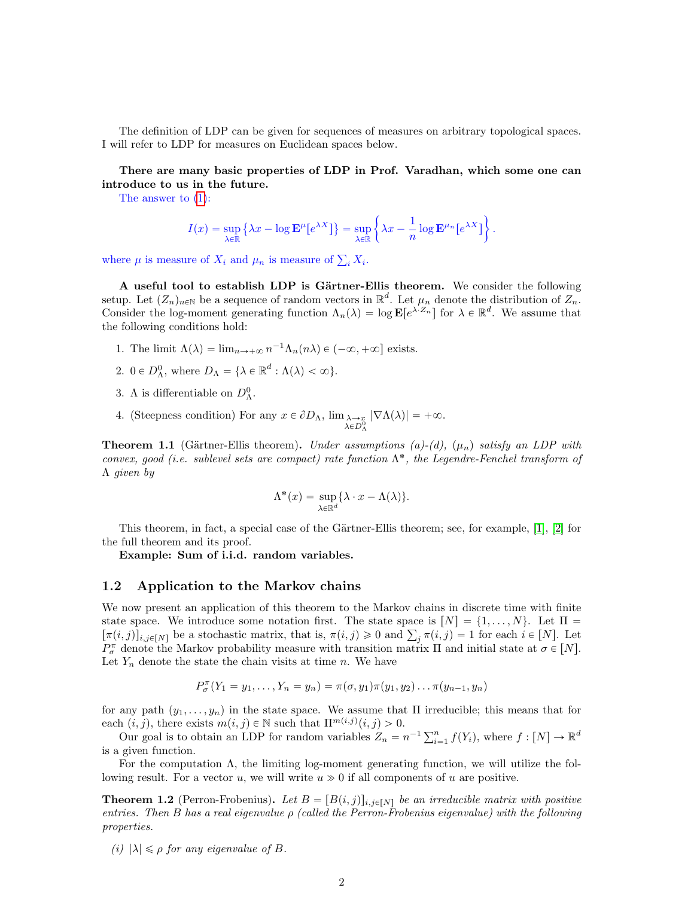The definition of LDP can be given for sequences of measures on arbitrary topological spaces. I will refer to LDP for measures on Euclidean spaces below.

There are many basic properties of LDP in Prof. Varadhan, which some one can introduce to us in the future.

The answer to [\(1\)](#page-0-0):

$$
I(x) = \sup_{\lambda \in \mathbb{R}} \left\{ \lambda x - \log \mathbf{E}^{\mu} [e^{\lambda X}] \right\} = \sup_{\lambda \in \mathbb{R}} \left\{ \lambda x - \frac{1}{n} \log \mathbf{E}^{\mu_n} [e^{\lambda X}] \right\}
$$

.

where  $\mu$  is measure of  $X_i$  and  $\mu_n$  is measure of  $\sum_i X_i$ .

A useful tool to establish LDP is Gärtner-Ellis theorem. We consider the following setup. Let  $(Z_n)_{n\in\mathbb{N}}$  be a sequence of random vectors in  $\mathbb{R}^d$ . Let  $\mu_n$  denote the distribution of  $Z_n$ . Consider the log-moment generating function  $\Lambda_n(\lambda) = \log \mathbf{E}[e^{\lambda \cdot Z_n}]$  for  $\lambda \in \mathbb{R}^d$ . We assume that the following conditions hold:

- 1. The limit  $\Lambda(\lambda) = \lim_{n \to +\infty} n^{-1} \Lambda_n(n\lambda) \in (-\infty, +\infty]$  exists.
- 2.  $0 \in D_{\Lambda}^0$ , where  $D_{\Lambda} = {\lambda \in \mathbb{R}^d : \Lambda(\lambda) < \infty}.$
- 3. A is differentiable on  $D_{\Lambda}^0$ .
- 4. (Steepness condition) For any  $x \in \partial D_\Lambda$ ,  $\lim_{\lambda \to x \to 0} \lambda \in D_\Lambda^0$  $|\nabla \Lambda(\lambda)| = +\infty.$

**Theorem 1.1** (Gärtner-Ellis theorem). Under assumptions (a)-(d),  $(\mu_n)$  satisfy an LDP with convex, good (i.e. sublevel sets are compact) rate function  $\Lambda^*$ , the Legendre-Fenchel transform of Λ given by

$$
\Lambda^*(x)=\sup_{\lambda\in\mathbb{R}^d}\{\lambda\cdot x-\Lambda(\lambda)\}.
$$

This theorem, in fact, a special case of the Gärtner-Ellis theorem; see, for example,  $[1]$ ,  $[2]$  for the full theorem and its proof.

Example: Sum of i.i.d. random variables.

### 1.2 Application to the Markov chains

We now present an application of this theorem to the Markov chains in discrete time with finite state space. We introduce some notation first. The state space is  $[N] = \{1, \ldots, N\}$ . Let  $\Pi$ state space. We introduce some notation first. The state space is  $[N] = \{1, ..., N\}$ . Let  $\Pi = [\pi(i, j)]_{i,j\in[N]}$  be a stochastic matrix, that is,  $\pi(i, j) \ge 0$  and  $\sum_j \pi(i, j) = 1$  for each  $i \in [N]$ . Let  $P_{\sigma}^{\pi}$  denote the Markov probability measure with transition matrix  $\Pi$  and initial state at  $\sigma \in [N]$ . Let  $Y_n$  denote the state the chain visits at time n. We have

$$
P_{\sigma}^{\pi}(Y_1 = y_1, \ldots, Y_n = y_n) = \pi(\sigma, y_1)\pi(y_1, y_2) \ldots \pi(y_{n-1}, y_n)
$$

for any path  $(y_1, \ldots, y_n)$  in the state space. We assume that Π irreducible; this means that for each  $(i, j)$ , there exists  $m(i, j) \in \mathbb{N}$  such that  $\Pi^{m(i,j)}(i, j) > 0$ .

h  $(i, j)$ , there exists  $m(i, j) \in \mathbb{N}$  such that  $\Pi^{m(i,j)}(i, j) > 0$ .<br>Our goal is to obtain an LDP for random variables  $Z_n = n^{-1} \sum_{i=1}^n f(Y_i)$ , where  $f : [N] \to \mathbb{R}^d$ is a given function.

For the computation  $\Lambda$ , the limiting log-moment generating function, we will utilize the following result. For a vector u, we will write  $u \gg 0$  if all components of u are positive.

**Theorem 1.2** (Perron-Frobenius). Let  $B = [B(i, j)]_{i,j\in[N]}$  be an irreducible matrix with positive entries. Then B has a real eigenvalue  $\rho$  (called the Perron-Frobenius eigenvalue) with the following properties.

(i)  $|\lambda| \leq \rho$  for any eigenvalue of B.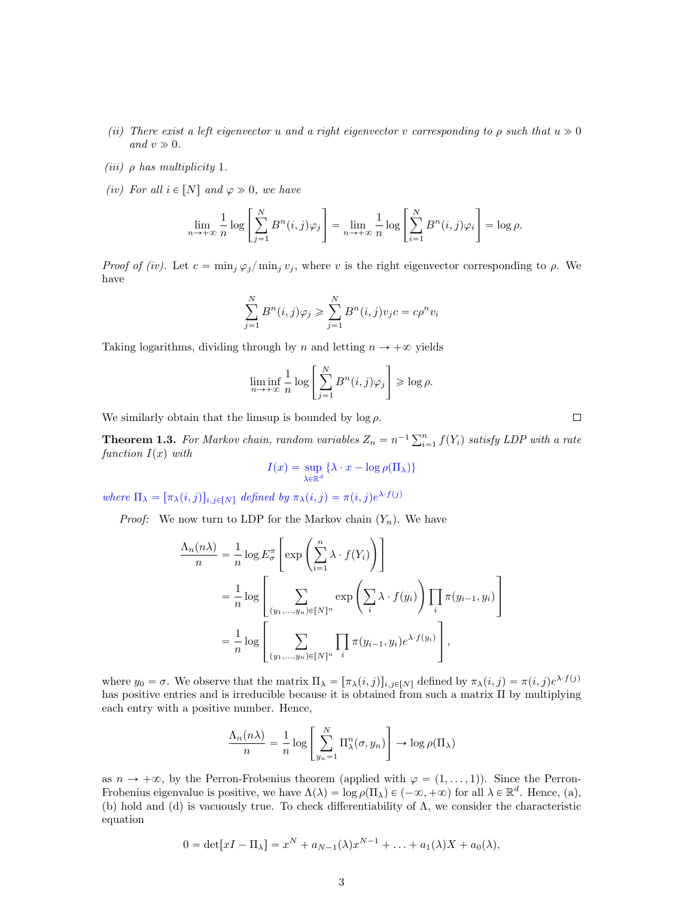- (ii) There exist a left eigenvector u and a right eigenvector v corresponding to  $\rho$  such that  $u \gg 0$ and  $v \gg 0$ .
- (iii)  $\rho$  has multiplicity 1.
- (iv) For all  $i \in [N]$  and  $\varphi \gg 0$ , we have

$$
\lim_{n \to +\infty} \frac{1}{n} \log \left[ \sum_{j=1}^{N} B^{n}(i,j) \varphi_j \right] = \lim_{n \to +\infty} \frac{1}{n} \log \left[ \sum_{i=1}^{N} B^{n}(i,j) \varphi_i \right] = \log \rho.
$$

*Proof of (iv).* Let  $c = \min_j \varphi_j / \min_j v_j$ , where v is the right eigenvector corresponding to  $\rho$ . We have

$$
\sum_{j=1}^{N} B^n(i,j)\varphi_j \geqslant \sum_{j=1}^{N} B^n(i,j)v_j c = c\rho^n v_i
$$

Taking logarithms, dividing through by n and letting  $n \to +\infty$  yields

$$
\liminf_{n \to +\infty} \frac{1}{n} \log \left[ \sum_{j=1}^{N} B^n(i,j) \varphi_j \right] \ge \log \rho.
$$

We similarly obtain that the limsup is bounded by  $\log \rho$ .

**Theorem 1.3.** For Markov chain, random variables  $Z_n = n^{-1} \sum_{i=1}^n f(Y_i)$  satisfy LDP with a rate function  $I(x)$  with

$$
I(x) = \sup_{\lambda \in \mathbb{R}^d} \{ \lambda \cdot x - \log \rho(\Pi_\lambda) \}
$$

where  $\Pi_{\lambda} = [\pi_{\lambda}(i,j)]_{i,j \in [N]}$  defined by  $\pi_{\lambda}(i,j) = \pi(i,j)e^{\lambda \cdot f(j)}$ 

*Proof:* We now turn to LDP for the Markov chain  $(Y_n)$ . We have

$$
\frac{\Lambda_n(n\lambda)}{n} = \frac{1}{n} \log E_{\sigma}^{\pi} \left[ \exp \left( \sum_{i=1}^n \lambda \cdot f(Y_i) \right) \right]
$$

$$
= \frac{1}{n} \log \left[ \sum_{(y_1, \ldots, y_n) \in [N]^n} \exp \left( \sum_i \lambda \cdot f(y_i) \right) \prod_i \pi(y_{i-1}, y_i) \right]
$$

$$
= \frac{1}{n} \log \left[ \sum_{(y_1, \ldots, y_n) \in [N]^n} \prod_i \pi(y_{i-1}, y_i) e^{\lambda \cdot f(y_i)} \right],
$$

where  $y_0 = \sigma$ . We observe that the matrix  $\Pi_{\lambda} = [\pi_{\lambda}(i,j)]_{i,j\in[N]}$  defined by  $\pi_{\lambda}(i,j) = \pi(i,j)e^{\lambda \cdot f(j)}$ has positive entries and is irreducible because it is obtained from such a matrix Π by multiplying each entry with a positive number. Hence,

$$
\frac{\Lambda_n(n\lambda)}{n} = \frac{1}{n} \log \left[ \sum_{y_n=1}^N \Pi_\lambda^n(\sigma, y_n) \right] \to \log \rho(\Pi_\lambda)
$$

as  $n \to +\infty$ , by the Perron-Frobenius theorem (applied with  $\varphi = (1, \ldots, 1)$ ). Since the Perron-Frobenius eigenvalue is positive, we have  $\Lambda(\lambda) = \log \rho(\Pi_{\lambda}) \in (-\infty, +\infty)$  for all  $\lambda \in \mathbb{R}^d$ . Hence, (a), (b) hold and (d) is vacuously true. To check differentiability of  $\Lambda$ , we consider the characteristic equation

$$
0 = \det[xI - \Pi_{\lambda}] = x^N + a_{N-1}(\lambda)x^{N-1} + \ldots + a_1(\lambda)X + a_0(\lambda),
$$

 $\Box$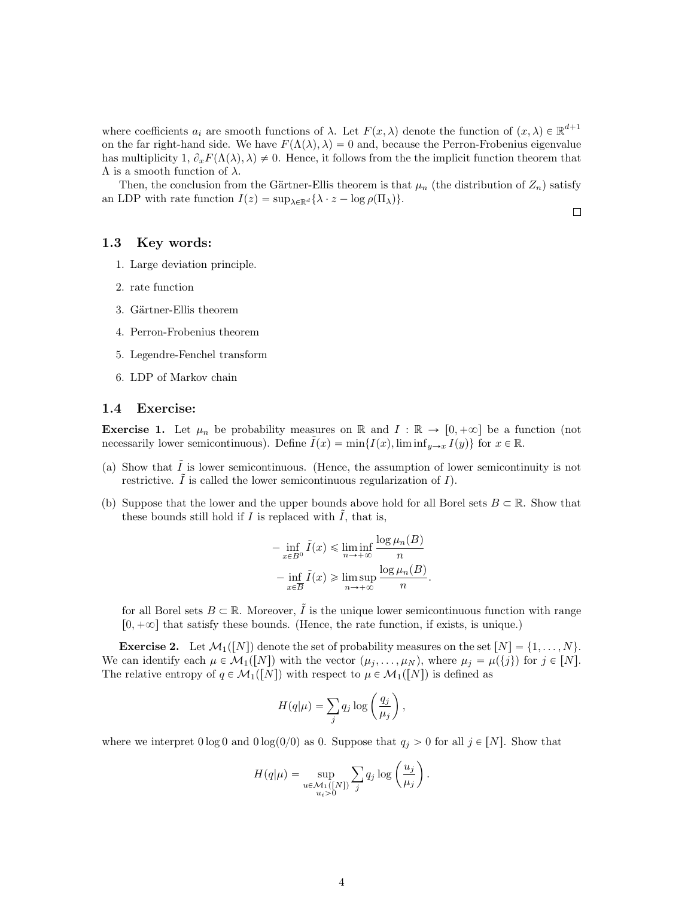where coefficients  $a_i$  are smooth functions of  $\lambda$ . Let  $F(x, \lambda)$  denote the function of  $(x, \lambda) \in \mathbb{R}^{d+1}$ on the far right-hand side. We have  $F(\Lambda(\lambda), \lambda) = 0$  and, because the Perron-Frobenius eigenvalue has multiplicity  $1, \partial_x F(\Lambda(\lambda), \lambda) \neq 0$ . Hence, it follows from the the implicit function theorem that  $\Lambda$  is a smooth function of  $\lambda$ .

Then, the conclusion from the Gärtner-Ellis theorem is that  $\mu_n$  (the distribution of  $Z_n$ ) satisfy an LDP with rate function  $I(z) = \sup_{\lambda \in \mathbb{R}^d} {\lambda \cdot z - \log \rho(\Pi_\lambda)}$ .

 $\Box$ 

#### 1.3 Key words:

- 1. Large deviation principle.
- 2. rate function
- 3. Gärtner-Ellis theorem
- 4. Perron-Frobenius theorem
- 5. Legendre-Fenchel transform
- 6. LDP of Markov chain

#### 1.4 Exercise:

**Exercise 1.** Let  $\mu_n$  be probability measures on R and  $I : \mathbb{R} \to [0, +\infty]$  be a function (not necessarily lower semicontinuous). Define  $\tilde{I}(x) = \min\{I(x), \liminf_{y\to x} I(y)\}\$  for  $x \in \mathbb{R}$ .

- (a) Show that  $\tilde{I}$  is lower semicontinuous. (Hence, the assumption of lower semicontinuity is not restrictive.  $\tilde{I}$  is called the lower semicontinuous regularization of  $I$ ).
- (b) Suppose that the lower and the upper bounds above hold for all Borel sets  $B \subset \mathbb{R}$ . Show that these bounds still hold if  $I$  is replaced with  $I$ , that is,

$$
-\inf_{x \in B^0} \tilde{I}(x) \le \liminf_{n \to +\infty} \frac{\log \mu_n(B)}{n}
$$

$$
-\inf_{x \in \overline{B}} \tilde{I}(x) \ge \limsup_{n \to +\infty} \frac{\log \mu_n(B)}{n}.
$$

for all Borel sets  $B \subset \mathbb{R}$ . Moreover,  $\tilde{I}$  is the unique lower semicontinuous function with range  $[0, +\infty]$  that satisfy these bounds. (Hence, the rate function, if exists, is unique.)

**Exercise 2.** Let  $\mathcal{M}_1([N])$  denote the set of probability measures on the set  $[N] = \{1, ..., N\}.$ We can identify each  $\mu \in \mathcal{M}_1([N])$  with the vector  $(\mu_j, \ldots, \mu_N)$ , where  $\mu_j = \mu({j})$  for  $j \in [N]$ . The relative entropy of  $q \in \mathcal{M}_1([N])$  with respect to  $\mu \in \mathcal{M}_1([N])$  is defined as

$$
H(q|\mu) = \sum_{j} q_j \log \left(\frac{q_j}{\mu_j}\right),
$$

where we interpret  $0 \log 0$  and  $0 \log(0/0)$  as 0. Suppose that  $q_j > 0$  for all  $j \in [N]$ . Show that

$$
H(q|\mu) = \sup_{\substack{u \in \mathcal{M}_1([N]) \\ u_i > 0}} \sum_j q_j \log \left(\frac{u_j}{\mu_j}\right).
$$